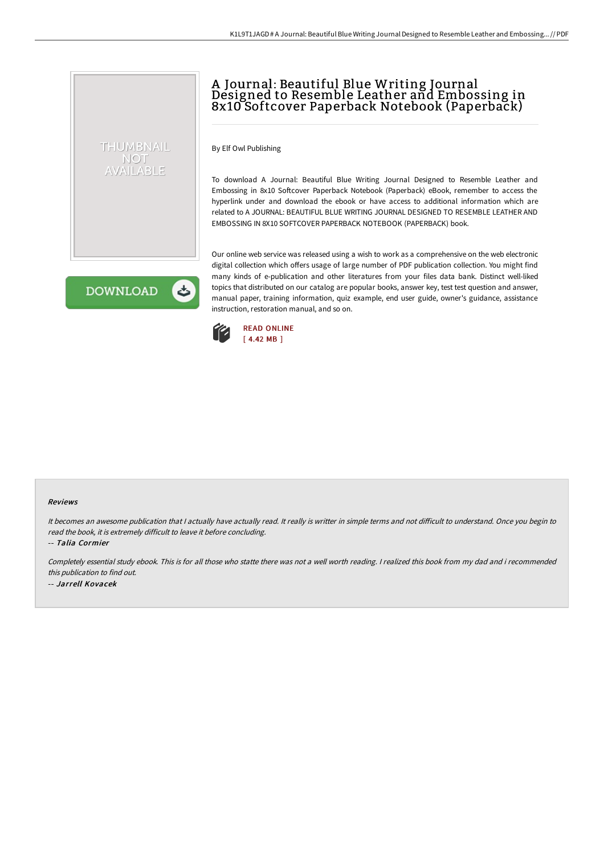# A Journal: Beautiful Blue Writing Journal Designed to Resemble Leather and Embossing in 8x10 Softcover Paperback Notebook (Paperback)

By Elf Owl Publishing

To download A Journal: Beautiful Blue Writing Journal Designed to Resemble Leather and Embossing in 8x10 Softcover Paperback Notebook (Paperback) eBook, remember to access the hyperlink under and download the ebook or have access to additional information which are related to A JOURNAL: BEAUTIFUL BLUE WRITING JOURNAL DESIGNED TO RESEMBLE LEATHER AND EMBOSSING IN 8X10 SOFTCOVER PAPERBACK NOTEBOOK (PAPERBACK) book.

**DOWNLOAD** 

ٹ

THUMBNAIL NOT AVAILABLE

> Our online web service was released using a wish to work as a comprehensive on the web electronic digital collection which offers usage of large number of PDF publication collection. You might find many kinds of e-publication and other literatures from your files data bank. Distinct well-liked topics that distributed on our catalog are popular books, answer key, test test question and answer, manual paper, training information, quiz example, end user guide, owner's guidance, assistance instruction, restoration manual, and so on.



#### Reviews

It becomes an awesome publication that I actually have actually read. It really is writter in simple terms and not difficult to understand. Once you begin to read the book, it is extremely difficult to leave it before concluding.

-- Talia Cormier

Completely essential study ebook. This is for all those who statte there was not <sup>a</sup> well worth reading. <sup>I</sup> realized this book from my dad and i recommended this publication to find out. -- Jarrell Kovacek